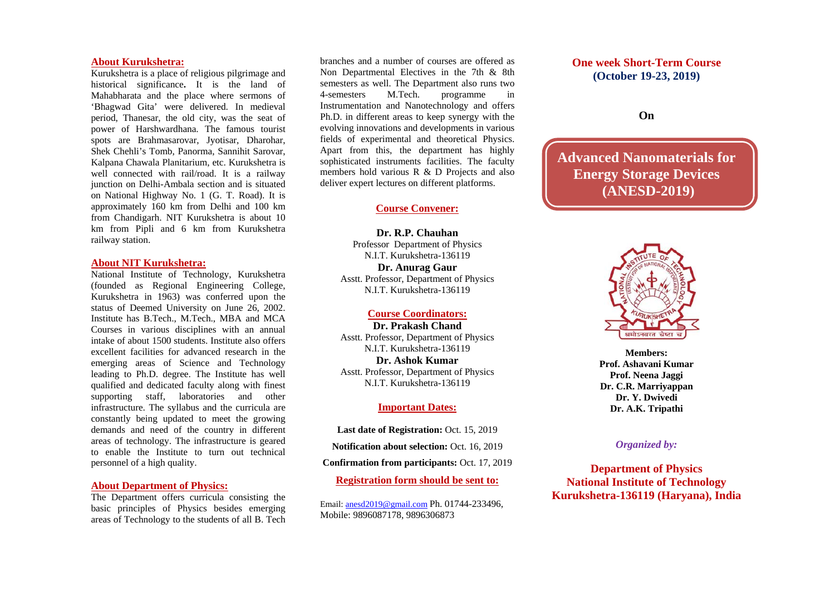#### **About Kurukshetra:**

Kurukshetra is a place of religious pilgrimage and historical significance**.** It is the land of Mahabharata and the place where sermons of 'Bhagwad Gita' were delivered. In medieval period, Thanesar, the old city, was the seat of power of Harshwardhana. The famous tourist spots are Brahmasarovar, Jyotisar, Dharohar, Shek Chehli's Tomb, Panorma, Sannihit Sarovar, Kalpana Chawala Planitarium, etc. Kurukshetra is well connected with rail/road. It is a railway junction on Delhi-Ambala section and is situated on National Highway No. 1 (G. T. Road). It is approximately 160 km from Delhi and 100 km from Chandigarh. NIT Kurukshetra is about 10 km from Pipli and 6 km from Kurukshetra railway station.

#### **About NIT Kurukshetra:**

National Institute of Technology, Kurukshetra (founded as Regional Engineering College, Kurukshetra in 1963) was conferred upon the status of Deemed University on June 26, 2002. Institute has B.Tech., M.Tech., MBA and MCA Courses in various disciplines with an annual intake of about 1500 students. Institute also offers excellent facilities for advanced research in the emerging areas of Science and Technology leading to Ph.D. degree. The Institute has well qualified and dedicated faculty along with finest supporting staff, laboratories and other infrastructure. The syllabus and the curricula are constantly being updated to meet the growing demands and need of the country in different areas of technology. The infrastructure is geared to enable the Institute to turn out technical personnel of a high quality.

# **About Department of Physics:**

The Department offers curricula consisting the basic principles of Physics besides emerging areas of Technology to the students of all B. Tech

branches and a number of courses are offered as Non Departmental Electives in the 7th & 8th semesters as well. The Department also runs two 4-semesters M.Tech. programme in Instrumentation and Nanotechnology and offers Ph.D. in different areas to keep synergy with the evolving innovations and developments in various fields of experimental and theoretical Physics. Apart from this, the department has highly sophisticated instruments facilities. The faculty members hold various R & D Projects and also deliver expert lectures on different platforms.

### **Course Convener:**

**Dr. R.P. Chauhan**  Professor Department of Physics N.I.T. Kurukshetra-136119 **Dr. Anurag Gaur**  Asstt. Professor, Department of Physics N.I.T. Kurukshetra-136119

#### **Course Coordinators:**

**Dr. Prakash Chand**  Asstt. Professor, Department of Physics N.I.T. Kurukshetra-136119 **Dr. Ashok Kumar** Asstt. Professor, Department of Physics N.I.T. Kurukshetra-136119

## **Important Dates:**

Last date of Registration: Oct. 15, 2019 **Notification about selection:** Oct. 16, 2019 **Confirmation from participants:** Oct. 17, 2019 **Registration form should be sent to:** 

Email: anesd2019@gmail.com Ph. 01744-233496, Mobile: 9896087178, 9896306873

# **One week Short-Term Course (October 19-23, 2019)**

# **On**

**Advanced Nanomaterials for Energy Storage Devices (ANESD-2019)** 



**Members: Prof. Ashavani Kumar Prof. Neena Jaggi Dr. C.R. Marriyappan Dr. Y. Dwivedi Dr. A.K. Tripathi** 

### *Organized by:*

**Department of Physics National Institute of Technology Kurukshetra-136119 (Haryana), India**